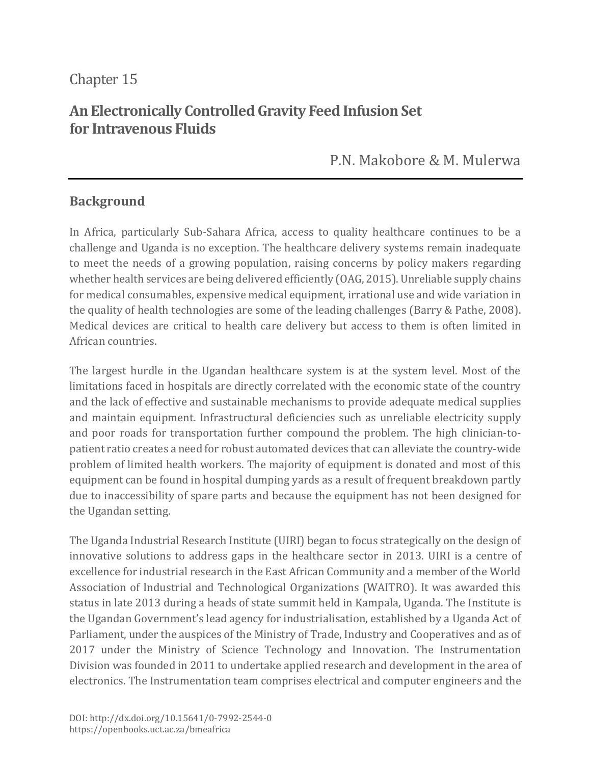# Chapter 15

# **An Electronically Controlled Gravity Feed Infusion Set for Intravenous Fluids**

P.N. [Makobore](https://orcid.org/0000-0002-2501-8392) & M. [Mulerwa](https://orcid.org/0000-0001-5464-2429)

### **Background**

In Africa, particularly Sub-Sahara Africa, access to quality healthcare continues to be a challenge and Uganda is no exception. The healthcare delivery systems remain inadequate to meet the needs of a growing population, raising concerns by policy makers regarding whether health services are being delivered efficiently (OAG, 2015). Unreliable supply chains for medical consumables, expensive medical equipment, irrational use and wide variation in the quality of health technologies are some of the leading challenges (Barry & Pathe, 2008). Medical devices are critical to health care delivery but access to them is often limited in African countries.

The largest hurdle in the Ugandan healthcare system is at the system level. Most of the limitations faced in hospitals are directly correlated with the economic state of the country and the lack of effective and sustainable mechanisms to provide adequate medical supplies and maintain equipment. Infrastructural deficiencies such as unreliable electricity supply and poor roads for transportation further compound the problem. The high clinician-topatient ratio creates a need for robust automated devices that can alleviate the country-wide problem of limited health workers. The majority of equipment is donated and most of this equipment can be found in hospital dumping yards as a result of frequent breakdown partly due to inaccessibility of spare parts and because the equipment has not been designed for the Ugandan setting.

The Uganda Industrial Research Institute (UIRI) began to focus strategically on the design of innovative solutions to address gaps in the healthcare sector in 2013. UIRI is a centre of excellence for industrial research in the East African Community and a member of the World Association of Industrial and Technological Organizations (WAITRO). It was awarded this status in late 2013 during a heads of state summit held in Kampala, Uganda. The Institute is the Ugandan Government's lead agency for industrialisation, established by a Uganda Act of Parliament, under the auspices of the Ministry of Trade, Industry and Cooperatives and as of 2017 under the Ministry of Science Technology and Innovation. The Instrumentation Division was founded in 2011 to undertake applied research and development in the area of electronics. The Instrumentation team comprises electrical and computer engineers and the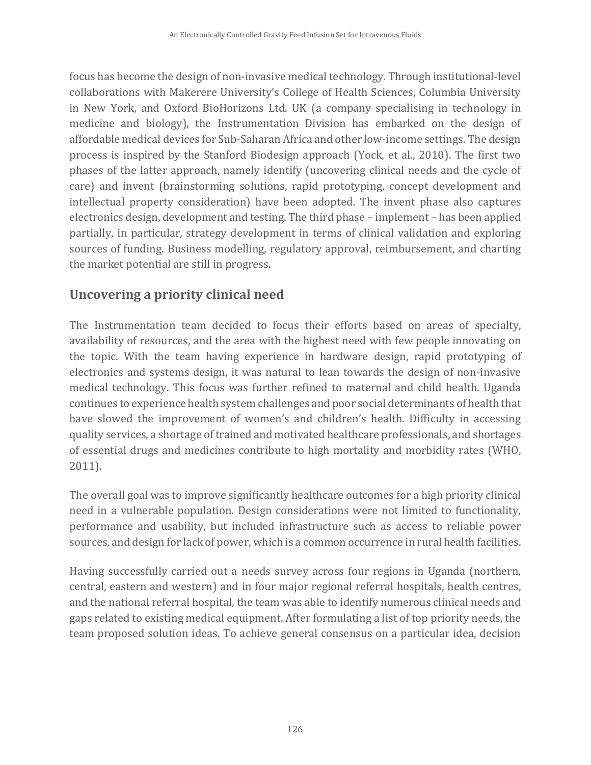focus has become the design of non-invasive medical technology. Through institutional-level collaborations with Makerere University's College of Health Sciences, Columbia University in New York, and Oxford BioHorizons Ltd. UK (a company specialising in technology in medicine and biology), the Instrumentation Division has embarked on the design of affordable medical devices for Sub-Saharan Africa and other low-income settings. The design process is inspired by the Stanford Biodesign approach (Yock, et al., 2010). The first two phases of the latter approach, namely identify (uncovering clinical needs and the cycle of care) and invent (brainstorming solutions, rapid prototyping, concept development and intellectual property consideration) have been adopted. The invent phase also captures electronics design, development and testing. The third phase – implement – has been applied partially, in particular, strategy development in terms of clinical validation and exploring sources of funding. Business modelling, regulatory approval, reimbursement, and charting the market potential are still in progress.

# **Uncovering a priority clinical need**

The Instrumentation team decided to focus their efforts based on areas of specialty, availability of resources, and the area with the highest need with few people innovating on the topic. With the team having experience in hardware design, rapid prototyping of electronics and systems design, it was natural to lean towards the design of non-invasive medical technology. This focus was further refined to maternal and child health. Uganda continues to experience health system challenges and poor social determinants of health that have slowed the improvement of women's and children's health. Difficulty in accessing quality services, a shortage of trained and motivated healthcare professionals, and shortages of essential drugs and medicines contribute to high mortality and morbidity rates (WHO, 2011).

The overall goal was to improve significantly healthcare outcomes for a high priority clinical need in a vulnerable population. Design considerations were not limited to functionality, performance and usability, but included infrastructure such as access to reliable power sources, and design for lack of power, which is a common occurrence in rural health facilities.

Having successfully carried out a needs survey across four regions in Uganda (northern, central, eastern and western) and in four major regional referral hospitals, health centres, and the national referral hospital, the team was able to identify numerous clinical needs and gaps related to existing medical equipment. After formulating a list of top priority needs, the team proposed solution ideas. To achieve general consensus on a particular idea, decision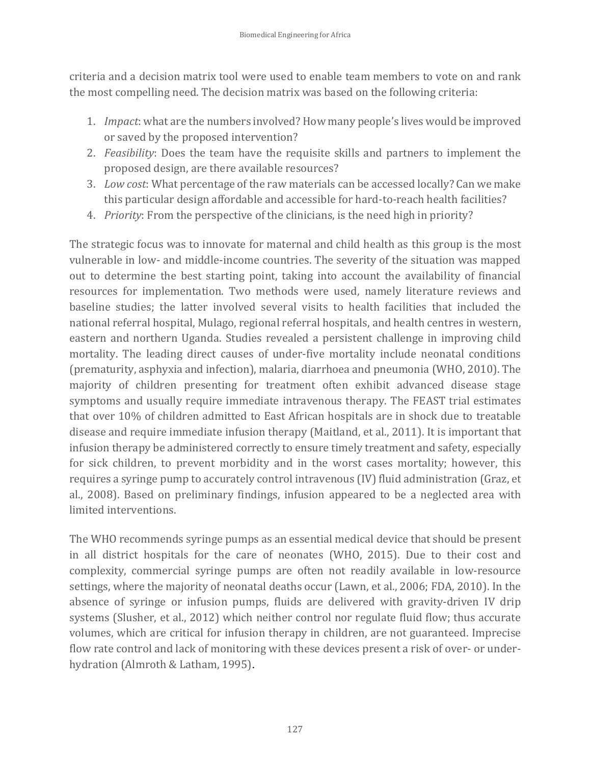criteria and a decision matrix tool were used to enable team members to vote on and rank the most compelling need. The decision matrix was based on the following criteria:

- 1. *Impact*: what are the numbers involved? How many people's lives would be improved or saved by the proposed intervention?
- 2. *Feasibility*: Does the team have the requisite skills and partners to implement the proposed design, are there available resources?
- 3. *Low cost*: What percentage of the raw materials can be accessed locally? Can we make this particular design affordable and accessible for hard-to-reach health facilities?
- 4. *Priority*: From the perspective of the clinicians, is the need high in priority?

The strategic focus was to innovate for maternal and child health as this group is the most vulnerable in low- and middle-income countries. The severity of the situation was mapped out to determine the best starting point, taking into account the availability of financial resources for implementation. Two methods were used, namely literature reviews and baseline studies; the latter involved several visits to health facilities that included the national referral hospital, Mulago, regional referral hospitals, and health centres in western, eastern and northern Uganda. Studies revealed a persistent challenge in improving child mortality. The leading direct causes of under-five mortality include neonatal conditions (prematurity, asphyxia and infection), malaria, diarrhoea and pneumonia (WHO, 2010). The majority of children presenting for treatment often exhibit advanced disease stage symptoms and usually require immediate intravenous therapy. The FEAST trial estimates that over 10% of children admitted to East African hospitals are in shock due to treatable disease and require immediate infusion therapy (Maitland, et al., 2011). It is important that infusion therapy be administered correctly to ensure timely treatment and safety, especially for sick children, to prevent morbidity and in the worst cases mortality; however, this requires a syringe pump to accurately control intravenous (IV) fluid administration (Graz, et al., 2008). Based on preliminary findings, infusion appeared to be a neglected area with limited interventions.

The WHO recommends syringe pumps as an essential medical device that should be present in all district hospitals for the care of neonates (WHO, 2015). Due to their cost and complexity, commercial syringe pumps are often not readily available in low-resource settings, where the majority of neonatal deaths occur (Lawn, et al., 2006; FDA, 2010). In the absence of syringe or infusion pumps, fluids are delivered with gravity-driven IV drip systems (Slusher, et al., 2012) which neither control nor regulate fluid flow; thus accurate volumes, which are critical for infusion therapy in children, are not guaranteed. Imprecise flow rate control and lack of monitoring with these devices present a risk of over- or underhydration (Almroth & Latham, 1995).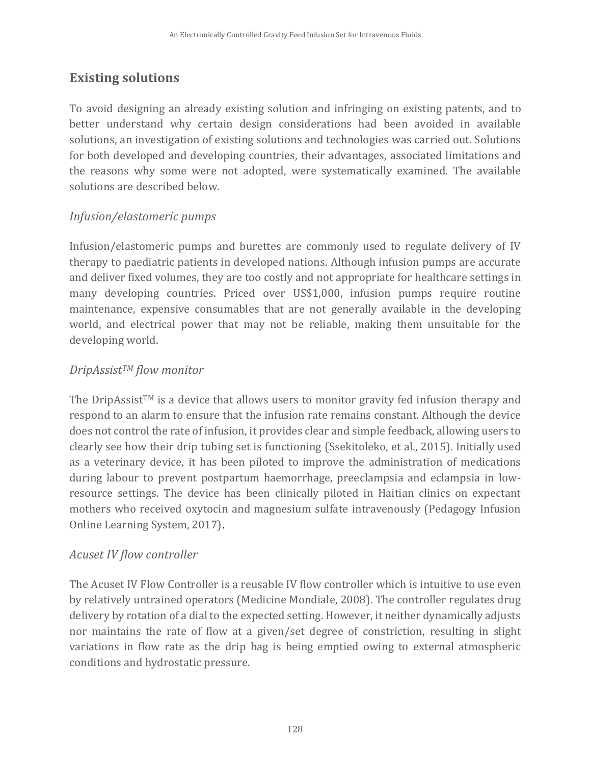## **Existing solutions**

To avoid designing an already existing solution and infringing on existing patents, and to better understand why certain design considerations had been avoided in available solutions, an investigation of existing solutions and technologies was carried out. Solutions for both developed and developing countries, their advantages, associated limitations and the reasons why some were not adopted, were systematically examined. The available solutions are described below.

### *Infusion/elastomeric pumps*

Infusion/elastomeric pumps and burettes are commonly used to regulate delivery of IV therapy to paediatric patients in developed nations. Although infusion pumps are accurate and deliver fixed volumes, they are too costly and not appropriate for healthcare settings in many developing countries. Priced over US\$1,000, infusion pumps require routine maintenance, expensive consumables that are not generally available in the developing world, and electrical power that may not be reliable, making them unsuitable for the developing world.

#### *DripAssistTM flow monitor*

The DripAssist<sup>TM</sup> is a device that allows users to monitor gravity fed infusion therapy and respond to an alarm to ensure that the infusion rate remains constant. Although the device does not control the rate of infusion, it provides clear and simple feedback, allowing users to clearly see how their drip tubing set is functioning (Ssekitoleko, et al., 2015). Initially used as a veterinary device, it has been piloted to improve the administration of medications during labour to prevent postpartum haemorrhage, preeclampsia and eclampsia in lowresource settings. The device has been clinically piloted in Haitian clinics on expectant mothers who received oxytocin and magnesium sulfate intravenously (Pedagogy Infusion Online Learning System, 2017).

#### *Acuset IV flow controller*

The Acuset IV Flow Controller is a reusable IV flow controller which is intuitive to use even by relatively untrained operators (Medicine Mondiale, 2008). The controller regulates drug delivery by rotation of a dial to the expected setting. However, it neither dynamically adjusts nor maintains the rate of flow at a given/set degree of constriction, resulting in slight variations in flow rate as the drip bag is being emptied owing to external atmospheric conditions and hydrostatic pressure.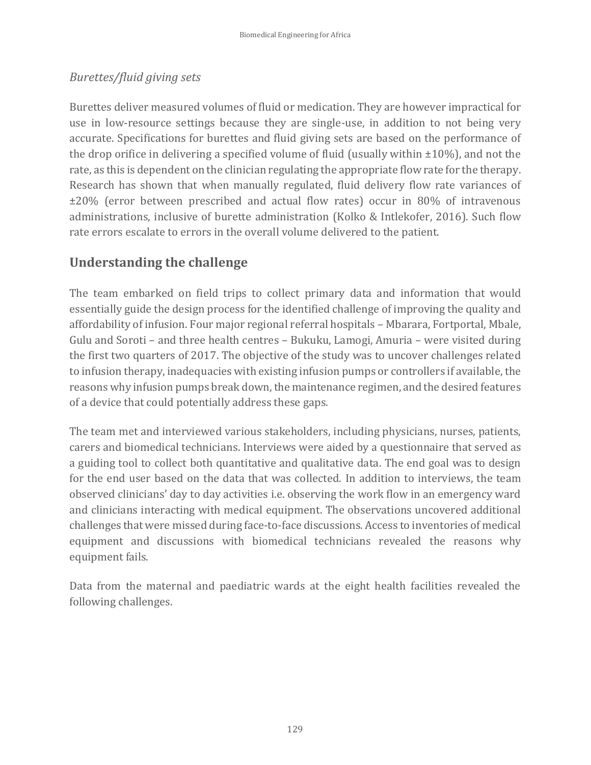### *Burettes/fluid giving sets*

Burettes deliver measured volumes of fluid or medication. They are however impractical for use in low-resource settings because they are single-use, in addition to not being very accurate. Specifications for burettes and fluid giving sets are based on the performance of the drop orifice in delivering a specified volume of fluid (usually within  $\pm 10\%$ ), and not the rate, as this is dependent on the clinician regulating the appropriate flow rate for the therapy. Research has shown that when manually regulated, fluid delivery flow rate variances of ±20% (error between prescribed and actual flow rates) occur in 80% of intravenous administrations, inclusive of burette administration (Kolko & Intlekofer, 2016). Such flow rate errors escalate to errors in the overall volume delivered to the patient.

# **Understanding the challenge**

The team embarked on field trips to collect primary data and information that would essentially guide the design process for the identified challenge of improving the quality and affordability of infusion. Four major regional referral hospitals – Mbarara, Fortportal, Mbale, Gulu and Soroti – and three health centres – Bukuku, Lamogi, Amuria – were visited during the first two quarters of 2017. The objective of the study was to uncover challenges related to infusion therapy, inadequacies with existing infusion pumps or controllers if available, the reasons why infusion pumps break down, the maintenance regimen, and the desired features of a device that could potentially address these gaps.

The team met and interviewed various stakeholders, including physicians, nurses, patients, carers and biomedical technicians. Interviews were aided by a questionnaire that served as a guiding tool to collect both quantitative and qualitative data. The end goal was to design for the end user based on the data that was collected. In addition to interviews, the team observed clinicians' day to day activities i.e. observing the work flow in an emergency ward and clinicians interacting with medical equipment. The observations uncovered additional challenges that were missed during face-to-face discussions. Access to inventories of medical equipment and discussions with biomedical technicians revealed the reasons why equipment fails.

Data from the maternal and paediatric wards at the eight health facilities revealed the following challenges.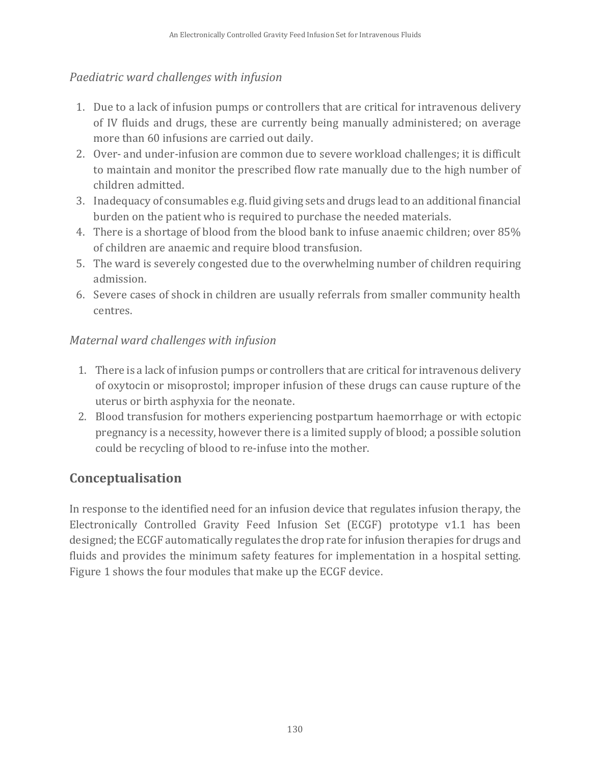#### *Paediatric ward challenges with infusion*

- 1. Due to a lack of infusion pumps or controllers that are critical for intravenous delivery of IV fluids and drugs, these are currently being manually administered; on average more than 60 infusions are carried out daily.
- 2. Over- and under-infusion are common due to severe workload challenges; it is difficult to maintain and monitor the prescribed flow rate manually due to the high number of children admitted.
- 3. Inadequacy of consumables e.g. fluid giving sets and drugs lead to an additional financial burden on the patient who is required to purchase the needed materials.
- 4. There is a shortage of blood from the blood bank to infuse anaemic children; over 85% of children are anaemic and require blood transfusion.
- 5. The ward is severely congested due to the overwhelming number of children requiring admission.
- 6. Severe cases of shock in children are usually referrals from smaller community health centres.

### *Maternal ward challenges with infusion*

- 1. There is a lack of infusion pumps or controllers that are critical for intravenous delivery of oxytocin or misoprostol; improper infusion of these drugs can cause rupture of the uterus or birth asphyxia for the neonate.
- 2. Blood transfusion for mothers experiencing postpartum haemorrhage or with ectopic pregnancy is a necessity, however there is a limited supply of blood; a possible solution could be recycling of blood to re-infuse into the mother.

# **Conceptualisation**

In response to the identified need for an infusion device that regulates infusion therapy, the Electronically Controlled Gravity Feed Infusion Set (ECGF) prototype v1.1 has been designed; the ECGF automatically regulates the drop rate for infusion therapies for drugs and fluids and provides the minimum safety features for implementation in a hospital setting. [Figure 1](#page-6-0) shows the four modules that make up the ECGF device.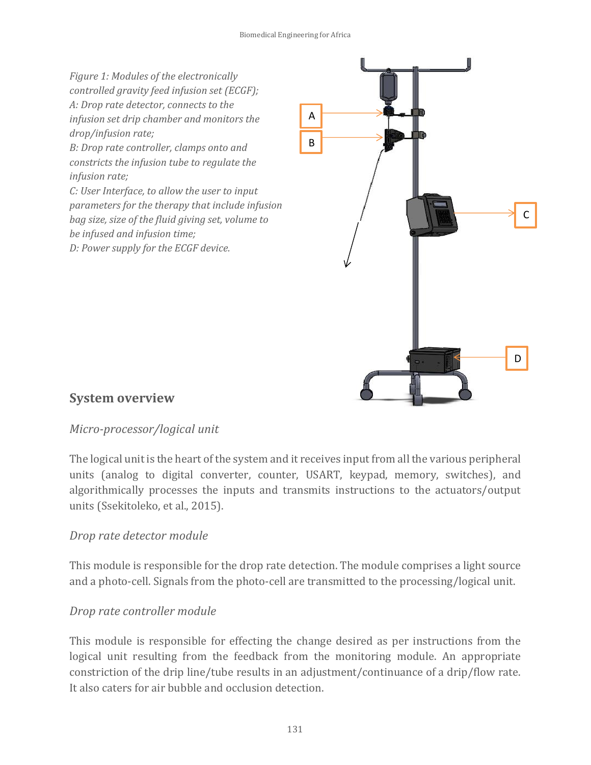<span id="page-6-0"></span>*Figure 1: Modules of the electronically controlled gravity feed infusion set (ECGF); A: Drop rate detector, connects to the infusion set drip chamber and monitors the drop/infusion rate; B: Drop rate controller, clamps onto and constricts the infusion tube to regulate the infusion rate; C: User Interface, to allow the user to input parameters for the therapy that include infusion bag size, size of the fluid giving set, volume to be infused and infusion time; D: Power supply for the ECGF device.* A B

C

D

#### **System overview**

#### *Micro-processor/logical unit*

The logical unit is the heart of the system and it receives input from all the various peripheral units (analog to digital converter, counter, USART, keypad, memory, switches), and algorithmically processes the inputs and transmits instructions to the actuators/output units (Ssekitoleko, et al., 2015).

#### *Drop rate detector module*

This module is responsible for the drop rate detection. The module comprises a light source and a photo-cell. Signals from the photo-cell are transmitted to the processing/logical unit.

#### *Drop rate controller module*

This module is responsible for effecting the change desired as per instructions from the logical unit resulting from the feedback from the monitoring module. An appropriate constriction of the drip line/tube results in an adjustment/continuance of a drip/flow rate. It also caters for air bubble and occlusion detection.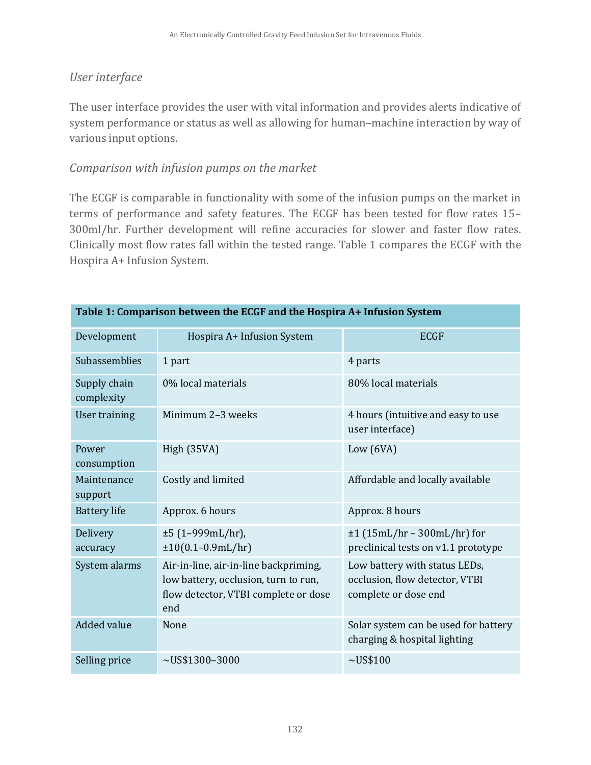#### *User interface*

The user interface provides the user with vital information and provides alerts indicative of system performance or status as well as allowing for human–machine interaction by way of various input options.

#### *Comparison with infusion pumps on the market*

The ECGF is comparable in functionality with some of the infusion pumps on the market in terms of performance and safety features. The ECGF has been tested for flow rates 15– 300ml/hr. Further development will refine accuracies for slower and faster flow rates. Clinically most flow rates fall within the tested range. Table 1 compares the ECGF with the Hospira A+ Infusion System.

| Table 1: Comparison between the ECGF and the Hospira A+ Infusion System |                                                                                                                              |                                                                                         |  |  |  |  |  |
|-------------------------------------------------------------------------|------------------------------------------------------------------------------------------------------------------------------|-----------------------------------------------------------------------------------------|--|--|--|--|--|
| Development                                                             | Hospira A+ Infusion System                                                                                                   | <b>ECGF</b>                                                                             |  |  |  |  |  |
| Subassemblies                                                           | 1 part                                                                                                                       | 4 parts                                                                                 |  |  |  |  |  |
| Supply chain<br>complexity                                              | 0% local materials                                                                                                           | 80% local materials                                                                     |  |  |  |  |  |
| User training                                                           | Minimum 2-3 weeks                                                                                                            | 4 hours (intuitive and easy to use<br>user interface)                                   |  |  |  |  |  |
| Power<br>consumption                                                    | High (35VA)                                                                                                                  | Low $(6VA)$                                                                             |  |  |  |  |  |
| Maintenance<br>support                                                  | Costly and limited                                                                                                           | Affordable and locally available                                                        |  |  |  |  |  |
| <b>Battery</b> life                                                     | Approx. 6 hours                                                                                                              | Approx. 8 hours                                                                         |  |  |  |  |  |
| Delivery<br>accuracy                                                    | $±5$ (1-999mL/hr),<br>$±10(0.1-0.9mL/hr)$                                                                                    | $\pm 1$ (15mL/hr - 300mL/hr) for<br>preclinical tests on v1.1 prototype                 |  |  |  |  |  |
| System alarms                                                           | Air-in-line, air-in-line backpriming,<br>low battery, occlusion, turn to run,<br>flow detector, VTBI complete or dose<br>end | Low battery with status LEDs,<br>occlusion, flow detector, VTBI<br>complete or dose end |  |  |  |  |  |
| <b>Added value</b>                                                      | None                                                                                                                         | Solar system can be used for battery<br>charging & hospital lighting                    |  |  |  |  |  |
| Selling price                                                           | $\sim U$ S\$1300-3000                                                                                                        | $\sim U$ S\$100                                                                         |  |  |  |  |  |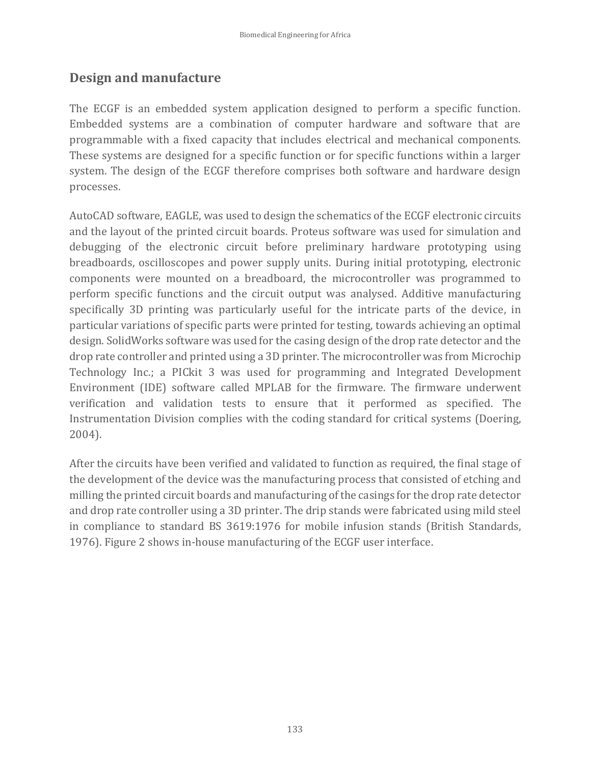### **Design and manufacture**

The ECGF is an embedded system application designed to perform a specific function. Embedded systems are a combination of computer hardware and software that are programmable with a fixed capacity that includes electrical and mechanical components. These systems are designed for a specific function or for specific functions within a larger system. The design of the ECGF therefore comprises both software and hardware design processes.

AutoCAD software, EAGLE, was used to design the schematics of the ECGF electronic circuits and the layout of the printed circuit boards. Proteus software was used for simulation and debugging of the electronic circuit before preliminary hardware prototyping using breadboards, oscilloscopes and power supply units. During initial prototyping, electronic components were mounted on a breadboard, the microcontroller was programmed to perform specific functions and the circuit output was analysed. Additive manufacturing specifically 3D printing was particularly useful for the intricate parts of the device, in particular variations of specific parts were printed for testing, towards achieving an optimal design. SolidWorks software was used for the casing design of the drop rate detector and the drop rate controller and printed using a 3D printer. The microcontroller was from Microchip Technology Inc.; a PICkit 3 was used for programming and Integrated Development Environment (IDE) software called MPLAB for the firmware. The firmware underwent verification and validation tests to ensure that it performed as specified. The Instrumentation Division complies with the coding standard for critical systems (Doering, 2004).

After the circuits have been verified and validated to function as required, the final stage of the development of the device was the manufacturing process that consisted of etching and milling the printed circuit boards and manufacturing of the casings for the drop rate detector and drop rate controller using a 3D printer. The drip stands were fabricated using mild steel in compliance to standard BS 3619:1976 for mobile infusion stands (British Standards, 1976). [Figure 2](#page-9-0) shows in-house manufacturing of the ECGF user interface.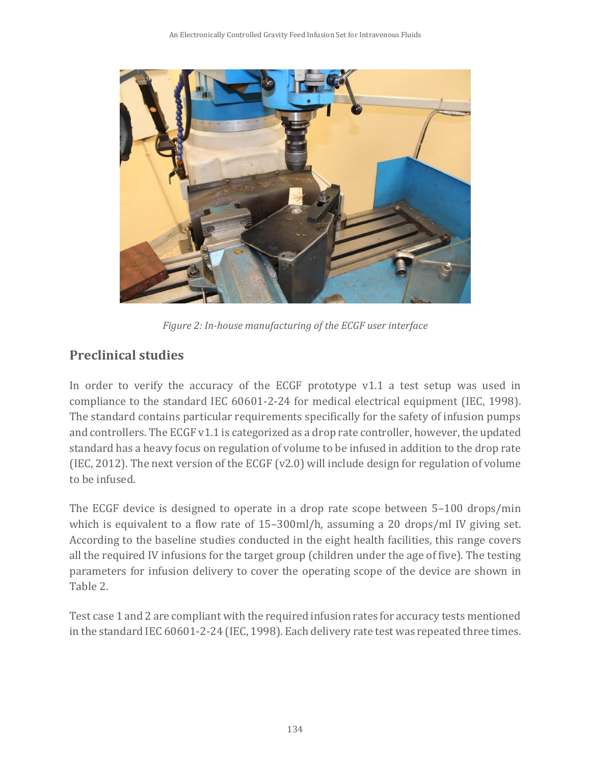

*Figure 2: In-house manufacturing of the ECGF user interface*

# <span id="page-9-0"></span>**Preclinical studies**

In order to verify the accuracy of the ECGF prototype v1.1 a test setup was used in compliance to the standard IEC 60601-2-24 for medical electrical equipment (IEC, 1998). The standard contains particular requirements specifically for the safety of infusion pumps and controllers. The ECGF v1.1 is categorized as a drop rate controller, however, the updated standard has a heavy focus on regulation of volume to be infused in addition to the drop rate (IEC, 2012). The next version of the ECGF (v2.0) will include design for regulation of volume to be infused.

The ECGF device is designed to operate in a drop rate scope between 5–100 drops/min which is equivalent to a flow rate of 15–300ml/h, assuming a 20 drops/ml IV giving set. According to the baseline studies conducted in the eight health facilities, this range covers all the required IV infusions for the target group (children under the age of five). The testing parameters for infusion delivery to cover the operating scope of the device are shown in Table 2.

Test case 1 and 2 are compliant with the required infusion rates for accuracy tests mentioned in the standard IEC 60601-2-24 (IEC, 1998). Each delivery rate test was repeated three times.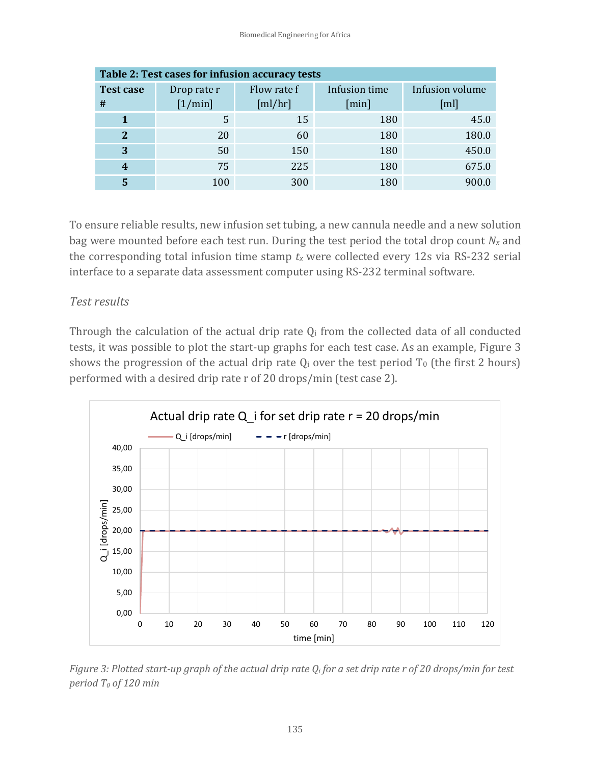| Table 2: Test cases for infusion accuracy tests |             |             |               |                 |  |  |  |  |  |
|-------------------------------------------------|-------------|-------------|---------------|-----------------|--|--|--|--|--|
| <b>Test case</b>                                | Drop rate r | Flow rate f | Infusion time | Infusion volume |  |  |  |  |  |
| #                                               | [1/min]     | [m]/hr]     | [min]         | [ml]            |  |  |  |  |  |
|                                                 | 5           | 15          | 180           | 45.0            |  |  |  |  |  |
| $\mathbf{2}$                                    | 20          | 60          | 180           | 180.0           |  |  |  |  |  |
| 3                                               | 50          | 150         | 180           | 450.0           |  |  |  |  |  |
|                                                 | 75          | 225         | 180           | 675.0           |  |  |  |  |  |
|                                                 | 100         | 300         | 180           | 900.0           |  |  |  |  |  |

To ensure reliable results, new infusion set tubing, a new cannula needle and a new solution bag were mounted before each test run. During the test period the total drop count  $N_x$  and the corresponding total infusion time stamp *t<sup>x</sup>* were collected every 12s via RS-232 serial interface to a separate data assessment computer using RS-232 terminal software.

#### *Test results*

Through the calculation of the actual drip rate  $Q_i$  from the collected data of all conducted tests, it was possible to plot the start-up graphs for each test case. As an example, [Figure 3](#page-10-0) shows the progression of the actual drip rate  $Q_i$  over the test period  $T_0$  (the first 2 hours) performed with a desired drip rate r of 20 drops/min (test case 2).



<span id="page-10-0"></span>*Figure 3: Plotted start-up graph of the actual drip rate Q<sup>i</sup> for a set drip rate r of 20 drops/min for test period T<sup>0</sup> of 120 min*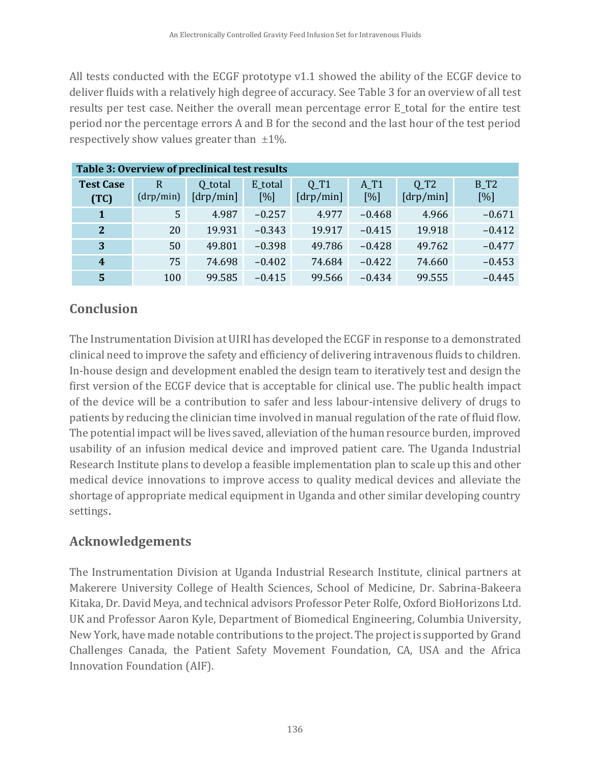All tests conducted with the ECGF prototype v1.1 showed the ability of the ECGF device to deliver fluids with a relatively high degree of accuracy. See Table 3 for an overview of all test results per test case. Neither the overall mean percentage error E\_total for the entire test period nor the percentage errors A and B for the second and the last hour of the test period respectively show values greater than  $\pm 1\%$ .

| Table 3: Overview of preclinical test results |                |                 |          |                 |          |                 |          |  |  |  |
|-----------------------------------------------|----------------|-----------------|----------|-----------------|----------|-----------------|----------|--|--|--|
| <b>Test Case</b>                              | $\overline{R}$ | Q_total         | E_total  | $Q_T1$          | $A_T1$   | $Q_T2$          | $B_T2$   |  |  |  |
| (TC)                                          | (drp/min)      | $[$ drp/min $]$ | [%]      | $[$ drp/min $]$ | [%]      | $[$ drp/min $]$ | [%]      |  |  |  |
| 1                                             | 5              | 4.987           | $-0.257$ | 4.977           | $-0.468$ | 4.966           | $-0.671$ |  |  |  |
| $\mathbf{2}$                                  | 20             | 19.931          | $-0.343$ | 19.917          | $-0.415$ | 19.918          | $-0.412$ |  |  |  |
| 3                                             | 50             | 49.801          | $-0.398$ | 49.786          | $-0.428$ | 49.762          | $-0.477$ |  |  |  |
| $\boldsymbol{4}$                              | 75             | 74.698          | $-0.402$ | 74.684          | $-0.422$ | 74.660          | $-0.453$ |  |  |  |
| 5                                             | 100            | 99.585          | $-0.415$ | 99.566          | $-0.434$ | 99.555          | $-0.445$ |  |  |  |

# **Conclusion**

The Instrumentation Division at UIRI has developed the ECGF in response to a demonstrated clinical need to improve the safety and efficiency of delivering intravenous fluids to children. In-house design and development enabled the design team to iteratively test and design the first version of the ECGF device that is acceptable for clinical use. The public health impact of the device will be a contribution to safer and less labour-intensive delivery of drugs to patients by reducing the clinician time involved in manual regulation of the rate of fluid flow. The potential impact will be lives saved, alleviation of the human resource burden, improved usability of an infusion medical device and improved patient care. The Uganda Industrial Research Institute plans to develop a feasible implementation plan to scale up this and other medical device innovations to improve access to quality medical devices and alleviate the shortage of appropriate medical equipment in Uganda and other similar developing country settings.

# **Acknowledgements**

The Instrumentation Division at Uganda Industrial Research Institute, clinical partners at Makerere University College of Health Sciences, School of Medicine, Dr. Sabrina-Bakeera Kitaka, Dr. David Meya, and technical advisors Professor Peter Rolfe, Oxford BioHorizons Ltd. UK and Professor Aaron Kyle, Department of Biomedical Engineering, Columbia University, New York, have made notable contributions to the project. The project is supported by Grand Challenges Canada, the Patient Safety Movement Foundation, CA, USA and the Africa Innovation Foundation (AIF).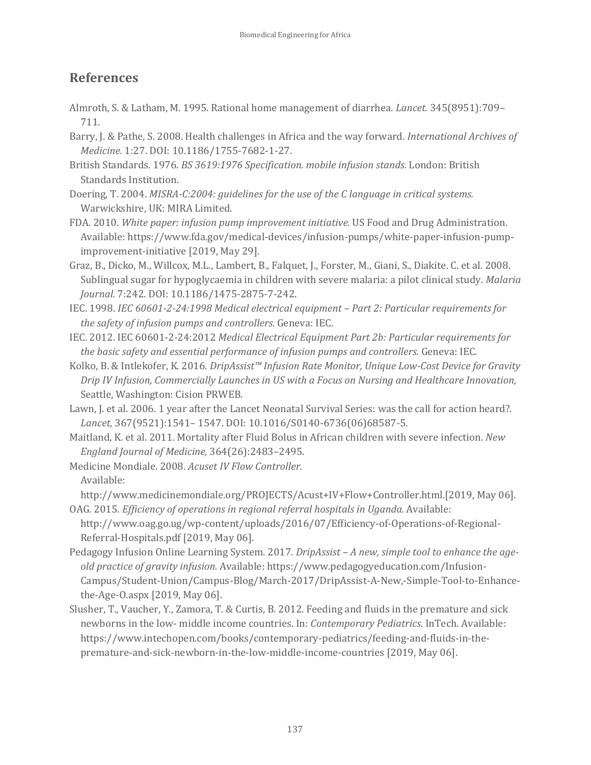### **References**

- Almroth, S. & Latham, M. 1995. Rational home management of diarrhea. *Lancet.* 345(8951):709– 711.
- Barry, J. & Pathe, S. 2008. Health challenges in Africa and the way forward. *International Archives of Medicine.* 1:27. DOI: 10.1186/1755-7682-1-27.
- British Standards. 1976. *BS 3619:1976 Specification. mobile infusion stands.* London: British Standards Institution.
- Doering, T. 2004. *MISRA-C:2004: guidelines for the use of the C language in critical systems.* Warwickshire, UK: MIRA Limited.
- FDA. 2010. *White paper: infusion pump improvement initiative.* US Food and Drug Administration. Available: https://www.fda.gov/medical-devices/infusion-pumps/white-paper-infusion-pumpimprovement-initiative [2019, May 29].
- Graz, B., Dicko, M., Willcox, M.L., Lambert, B., Falquet, J., Forster, M., Giani, S., Diakite. C. et al. 2008. Sublingual sugar for hypoglycaemia in children with severe malaria: a pilot clinical study. *Malaria Journal.* 7:242. DOI: 10.1186/1475-2875-7-242.
- IEC. 1998. *IEC 60601-2-24:1998 Medical electrical equipment – Part 2: Particular requirements for the safety of infusion pumps and controllers.* Geneva: IEC.
- IEC. 2012. IEC 60601-2-24:2012 *Medical Electrical Equipment Part 2b: Particular requirements for the basic safety and essential performance of infusion pumps and controllers.* Geneva: IEC*.*
- Kolko, B. & Intlekofer, K. 2016. *DripAssist™ Infusion Rate Monitor, Unique Low-Cost Device for Gravity Drip IV Infusion, Commercially Launches in US with a Focus on Nursing and Healthcare Innovation,*  Seattle, Washington: Cision PRWEB.
- Lawn, J. et al. 2006. 1 year after the Lancet Neonatal Survival Series: was the call for action heard?. *Lancet,* 367(9521):1541– 1547. DOI: 10.1016/S0140-6736(06)68587-5.
- Maitland, K. et al. 2011. Mortality after Fluid Bolus in African children with severe infection. *New England Journal of Medicine,* 364(26):2483–2495.

Medicine Mondiale. 2008. *Acuset IV Flow Controller.*  Available:

http://www.medicinemondiale.org/PROJECTS/Acust+IV+Flow+Controller.html.[2019, May 06]. OAG. 2015. *Efficiency of operations in regional referral hospitals in Uganda.* Available:

http://www.oag.go.ug/wp-content/uploads/2016/07/Efficiency-of-Operations-of-Regional-Referral-Hospitals.pdf [2019, May 06].

- Pedagogy Infusion Online Learning System. 2017. *DripAssist – A new, simple tool to enhance the ageold practice of gravity infusion.* Available[: https://www.pedagogyeducation.com/Infusion-](https://www.pedagogyeducation.com/Infusion-Campus/Student-Union/Campus-Blog/March-2017/DripAssist-A-New,-Simple-Tool-to-Enhance-the-Age-O.aspx)[Campus/Student-Union/Campus-Blog/March-2017/DripAssist-A-New,-Simple-Tool-to-Enhance](https://www.pedagogyeducation.com/Infusion-Campus/Student-Union/Campus-Blog/March-2017/DripAssist-A-New,-Simple-Tool-to-Enhance-the-Age-O.aspx)[the-Age-O.aspx](https://www.pedagogyeducation.com/Infusion-Campus/Student-Union/Campus-Blog/March-2017/DripAssist-A-New,-Simple-Tool-to-Enhance-the-Age-O.aspx) [2019, May 06].
- Slusher, T., Vaucher, Y., Zamora, T. & Curtis, B. 2012. Feeding and fluids in the premature and sick newborns in the low- middle income countries. In: *Contemporary Pediatrics.* InTech. Available: https://www.intechopen.com/books/contemporary-pediatrics/feeding-and-fluids-in-thepremature-and-sick-newborn-in-the-low-middle-income-countries [2019, May 06].